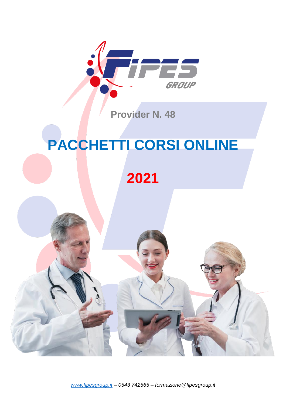

**Provider N. 48**

# **PACCHETTI CORSI ONLINE**

# **2021**

*[www.fipesgroup.it](http://www.fipesgroup.it/) – 0543 742565 – formazione@fipesgroup.it*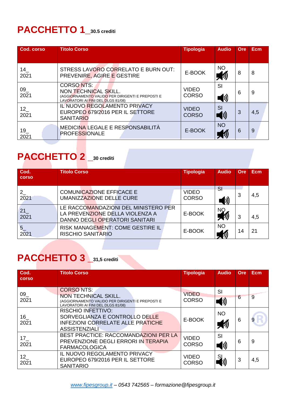#### **PACCHETTO 1\_30.5 crediti**

| Cod. corso                | <b>Titolo Corso</b>                                                                                                                | <b>Tipologia</b>             | <b>Audio</b>                           | Ore | <b>Ecm</b> |
|---------------------------|------------------------------------------------------------------------------------------------------------------------------------|------------------------------|----------------------------------------|-----|------------|
|                           |                                                                                                                                    |                              |                                        |     |            |
| 14<br>2021                | STRESS LAVORO CORRELATO E BURN OUT:<br>PREVENIRE, AGIRE E GESTIRE                                                                  | E-BOOK                       | <b>NO</b>                              | 8   | 8          |
| 09<br>2021                | <b>CORSONTS:</b><br>NON TECHNICAL SKILL.<br>(AGGIORNAMENTO VALIDO PER DIRIGENTI E PREPOSTI E<br>LAVORATORI AI FINI DEL DLGS 81/08) | <b>VIDEO</b><br><b>CORSO</b> | SI<br>D)                               | 6   | 9          |
| 12<br>2021                | IL NUOVO REGOLAMENTO PRIVACY<br>EUROPEO 679/2016 PER IL SETTORE<br><b>SANITARIO</b>                                                | <b>VIDEO</b><br><b>CORSO</b> | <b>SI</b><br>$\left(\mathbf{0}\right)$ | 3   | 4,5        |
| $19$ <sub>-</sub><br>2021 | MEDICINA LEGALE E RESPONSABILITÀ<br><b>PROFESSIONALE</b>                                                                           | E-BOOK                       | <b>NO</b>                              | 6   | 9          |

#### **PACCHETTO 2 \_30 crediti**

| Cod.<br><b>corso</b> | <b>Titolo Corso</b>                                                                                       | <b>Tipologia</b>             | <b>Audio</b>    | Ore | Ecm |
|----------------------|-----------------------------------------------------------------------------------------------------------|------------------------------|-----------------|-----|-----|
| $2^{\circ}$<br>2021  | <b>COMUNICAZIONE EFFICACE E</b><br>UMANIZZAZIONE DELLE CURE                                               | <b>VIDEO</b><br><b>CORSO</b> | <b>SI</b><br>D) | 3   | 4,5 |
| 21<br>2021           | LE RACCOMANDAZIONI DEL MINISTERO PER<br>LA PREVENZIONE DELLA VIOLENZA A<br>DANNO DEGLI OPERATORI SANITARI | E-BOOK                       | <b>NO</b>       | 3   | 4,5 |
| $\frac{5}{2021}$     | RISK MANAGEMENT: COME GESTIRE IL<br><b>RISCHIO SANITARIO</b>                                              | E-BOOK                       | <b>NO</b>       | 14  | 21  |

### **PACCHETTO 3 \_31,5 crediti**

| Cod.<br><b>COLSO</b>    | <b>Titolo Corso</b>                                                                                                                       | <b>Tipologia</b>             | <b>Audio</b>          | Ore | <b>Ecm</b> |
|-------------------------|-------------------------------------------------------------------------------------------------------------------------------------------|------------------------------|-----------------------|-----|------------|
| 09<br>2021              | <b>CORSONTS:</b><br><b>NON TECHNICAL SKILL.</b><br>(AGGIORNAMENTO VALIDO PER DIRIGENTI E PREPOSTI E<br>LAVORATORI AI FINI DEL DLGS 81/08) | <b>VIDEO</b><br><b>CORSO</b> | SI<br>$\blacklozenge$ | 6   | 9          |
| 16<br>2021              | <b>RISCHIO INFETTIVO:</b><br>SORVEGLIANZA E CONTROLLO DELLE<br><b>INFEZIONI CORRELATE ALLE PRATICHE</b><br><b>ASSISTENZIALI</b>           | E-BOOK                       | <b>NO</b>             | 6   | 9          |
| 17 <sup>2</sup><br>2021 | <b>BEST PRACTICE: RACCOMANDAZIONI PER LA</b><br>PREVENZIONE DEGLI ERRORI IN TERAPIA<br><b>FARMACOLOGICA</b>                               | <b>VIDEO</b><br><b>CORSO</b> | SI<br>$\mathbf{D}$    | 6   | 9          |
| 12<br>2021              | IL NUOVO REGOLAMENTO PRIVACY<br>EUROPEO 679/2016 PER IL SETTORE<br><b>SANITARIO</b>                                                       | <b>VIDEO</b><br><b>CORSO</b> | SJ                    | 3   | 4,5        |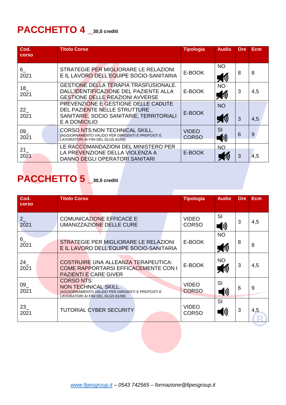#### **PACCHETTO 4 \_30,5 crediti**

| Cod.<br><b>corso</b> | <b>Titolo Corso</b>                                                                                                              | <b>Tipologia</b>             | <b>Audio</b>             | Ore | <b>Ecm</b> |
|----------------------|----------------------------------------------------------------------------------------------------------------------------------|------------------------------|--------------------------|-----|------------|
| $6_{-}$<br>2021      | STRATEGIE PER MIGLIORARE LE RELAZIONI<br>E IL LAVORO DELL'EQUIPE SOCIO-SANITARIA                                                 | E-BOOK                       | <b>NO</b>                | 8   | 8          |
| 18<br>2021           | <b>GESTIONE DELLA TERAPIA TRASFUSIONALE.</b><br>DALL'IDENTIFICAZIONE DEL PAZIENTE ALLA<br><b>GESTIONE DELLE REAZIONI AVVERSE</b> | E-BOOK                       | <b>NO</b>                | 3   | 4,5        |
| 22<br>2021           | PREVENZIONE E GESTIONE DELLE CADUTE<br>DEL PAZIENTE NELLE STRUTTURE<br>SANITARIE, SOCIO SANITARIE, TERRITORIALI<br>E A DOMICILIO | E-BOOK                       | <b>NO</b><br>リング (の)     | 3   | 4,5        |
| 09<br>2021           | <b>CORSO NTS:NON TECHNICAL SKILL.</b><br>(AGGIORNAMENTO VALIDO PER DIRIGENTI E PREPOSTI E<br>LAVORATORI AI FINI DEL DLGS 81/08)  | <b>VIDEO</b><br><b>CORSO</b> | SI<br>$\ket{\mathbf{0}}$ | 6   | 9          |
| 21<br>2021           | LE RACCOMANDAZIONI DEL MINISTERO PER<br>LA PREVENZIONE DELLA VIOLENZA A<br>DANNO DEGLI OPERATORI SANITARI                        | E-BOOK                       | <b>NO</b>                | 3   | 4,5        |

### **PACCHETTO 5 \_30,5 crediti**

| Cod.<br><b>COLSO</b> | <b>Titolo Corso</b>                                                                                                                       | <b>Tipologia</b>             | <b>Audio</b>            | Ore | <b>Ecm</b> |
|----------------------|-------------------------------------------------------------------------------------------------------------------------------------------|------------------------------|-------------------------|-----|------------|
| 2<br>2021            | <b>COMUNICAZIONE EFFICACE E</b><br><b>UMANIZZAZIONE DELLE CURE</b>                                                                        | <b>VIDEO</b><br><b>CORSO</b> | SI                      | 3   | 4,5        |
| 6<br>2021            | STRATEGIE PER MIGLIORARE LE RELAZIONI<br>E IL LAVORO DELL'EQUIPE SOCIO-SANITARIA                                                          | E-BOOK                       | <b>NO</b>               | 8   | 8          |
| 24<br>2021           | COSTRUIRE UNA ALLEANZA TERAPEUTICA:<br><b>COME RAPPORTARSI EFFICACEMENTE CON I</b><br><b>PAZIENTI E CARE GIVER</b>                        | E-BOOK                       | <b>NO</b>               | 3   | 4,5        |
| 09<br>2021           | <b>CORSONTS:</b><br><b>NON TECHNICAL SKILL.</b><br>(AGGIORNAMENTO VALIDO PER DIRIGENTI E PREPOSTI E<br>LAVORATORI AI FINI DEL DLGS 81/08) | <b>VIDEO</b><br><b>CORSO</b> | SI<br>$\langle \rangle$ | 6   | 9          |
| 23<br>2021           | <b>TUTORIAL CYBER SECURITY</b>                                                                                                            | <b>VIDEO</b><br><b>CORSO</b> | SI<br>(1)               | 3   | 4,5        |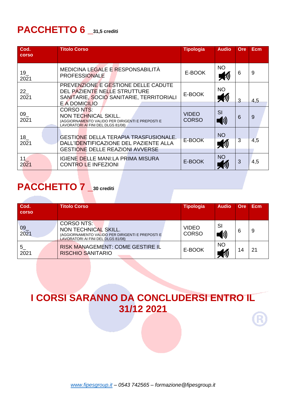#### **PACCHETTO 6 \_31,5 crediti**

| Cod.<br><b>corso</b>    | <b>Titolo Corso</b>                                                                                                                 | <b>Tipologia</b>             | <b>Audio</b>               | <b>Ore</b>     | <b>Ecm</b> |
|-------------------------|-------------------------------------------------------------------------------------------------------------------------------------|------------------------------|----------------------------|----------------|------------|
| 19<br>2021              | MEDICINA LEGALE E RESPONSABILITÀ<br><b>PROFESSIONALE</b>                                                                            | E-BOOK                       | <b>NO</b><br>物             | 6              | 9          |
| 22<br>2021              | PREVENZIONE E GESTIONE DELLE CADUTE<br>DEL PAZIENTE NELLE STRUTTURE<br>SANITARIE, SOCIO SANITARIE, TERRITORIALI<br>E A DOMICILIO    | E-BOOK                       | <b>NO</b><br>h             | 3              | 4,5        |
| 09<br>2021              | <b>CORSO NTS:</b><br>NON TECHNICAL SKILL.<br>(AGGIORNAMENTO VALIDO PER DIRIGENTI E PREPOSTI E<br>LAVORATORI AI FINI DEL DLGS 81/08) | <b>VIDEO</b><br><b>CORSO</b> | SI<br>$\blacktriangleleft$ | 6              | 9          |
| 18<br>2021              | <b>GESTIONE DELLA TERAPIA TRASFUSIONALE.</b><br>DALL'IDENTIFICAZIONE DEL PAZIENTE ALLA<br><b>GESTIONE DELLE REAZIONI AVVERSE</b>    | E-BOOK                       | <b>NO</b><br>物             | $\overline{3}$ | 4,5        |
| 11 <sup>7</sup><br>2021 | <b>IGIENE DELLE MANI:LA PRIMA MISURA</b><br><b>CONTRO LE INFEZIONI</b>                                                              | E-BOOK                       | <b>NO</b>                  | 3              | 4,5        |

#### **PACCHETTO 7 \_<sup>30</sup> crediti**

| Cod.<br><b>corso</b> | <b>Titolo Corso</b>                                                                                                                 | <b>Tipologia</b>             | <b>Audio</b>   | Ore | Ecm |
|----------------------|-------------------------------------------------------------------------------------------------------------------------------------|------------------------------|----------------|-----|-----|
| 09<br>2021           | <b>CORSO NTS:</b><br>NON TECHNICAL SKILL.<br>(AGGIORNAMENTO VALIDO PER DIRIGENTI E PREPOSTI E<br>LAVORATORI AI FINI DEL DLGS 81/08) | <b>VIDEO</b><br><b>CORSO</b> | SI<br>$\bm{D}$ | 6   | 9   |
| 5<br>2021            | <b>RISK MANAGEMENT: COME GESTIRE IL</b><br><b>RISCHIO SANITARIO</b>                                                                 | E-BOOK                       | <b>NO</b>      | 14  | 21  |

#### **I CORSI SARANNO DA CONCLUDERSI ENTRO IL 31/12 2021**